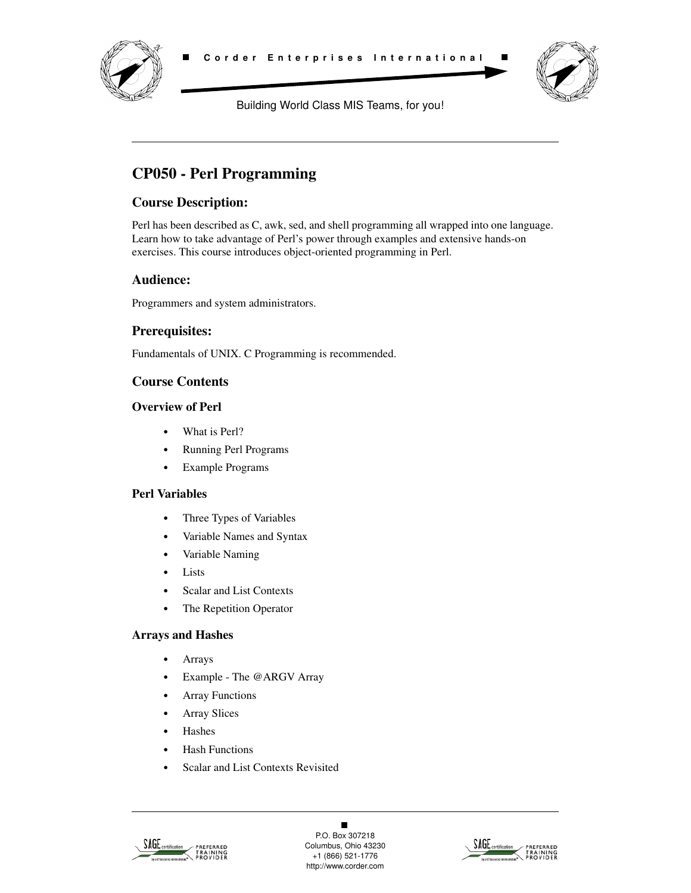



Building World Class MIS Teams, for you!

# **CP050 - Perl Programming**

## **Course Description:**

Perl has been described as C, awk, sed, and shell programming all wrapped into one language. Learn how to take advantage of Perl's power through examples and extensive hands-on exercises. This course introduces object-oriented programming in Perl.

### **Audience:**

Programmers and system administrators.

### **Prerequisites:**

Fundamentals of UNIX. C Programming is recommended.

## **Course Contents**

#### **Overview of Perl**

- **•** What is Perl?
- **•** Running Perl Programs
- **•** Example Programs

### **Perl Variables**

- **•** Three Types of Variables
- **•** Variable Names and Syntax
- **•** Variable Naming
- **•** Lists
- **•** Scalar and List Contexts
- **•** The Repetition Operator

#### **Arrays and Hashes**

- **•** Arrays
- **•** Example The @ARGV Array
- **•** Array Functions
- **•** Array Slices
- **•** Hashes
- **•** Hash Functions
- **•** Scalar and List Contexts Revisited



 $\blacksquare$ P.O. Box 307218 Columbus, Ohio 43230 +1 (866) 521-1776 http://www.corder.com

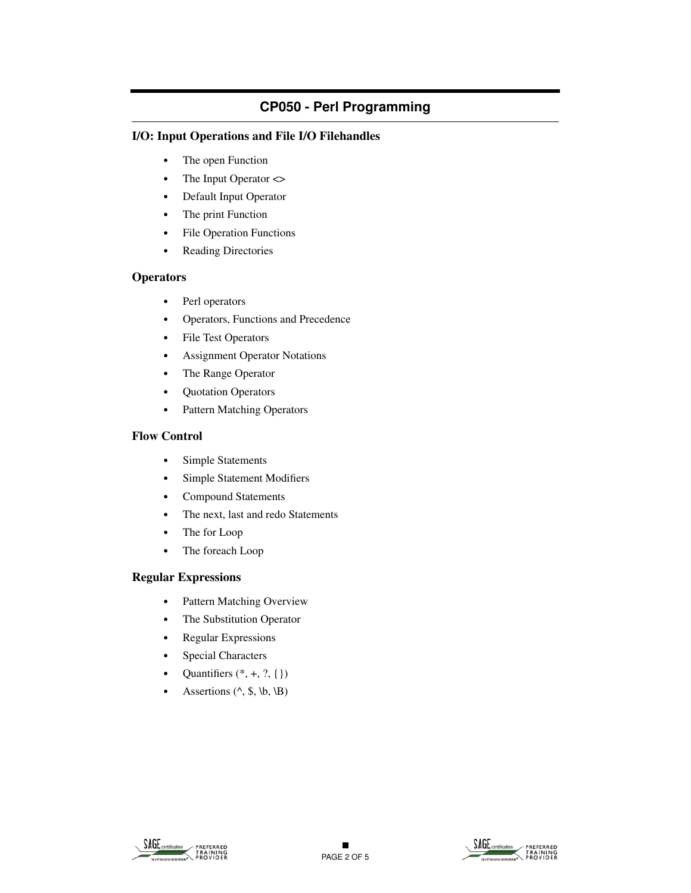#### **I/O: Input Operations and File I/O Filehandles**

- **•** The open Function
- The Input Operator <>
- **•** Default Input Operator
- **•** The print Function
- **•** File Operation Functions
- **•** Reading Directories

#### **Operators**

- **•** Perl operators
- **•** Operators, Functions and Precedence
- **•** File Test Operators
- **•** Assignment Operator Notations
- **•** The Range Operator
- **•** Quotation Operators
- **•** Pattern Matching Operators

#### **Flow Control**

- **•** Simple Statements
- **•** Simple Statement Modifiers
- **•** Compound Statements
- **•** The next, last and redo Statements
- **•** The for Loop
- **•** The foreach Loop

#### **Regular Expressions**

- **•** Pattern Matching Overview
- **•** The Substitution Operator
- **•** Regular Expressions
- **•** Special Characters
- Quantifiers  $(*, +, ?, \{\})$
- Assertions  $(^\wedge, \, \mathcal{S}, \, \mathcal{b}, \, \mathcal{b})$



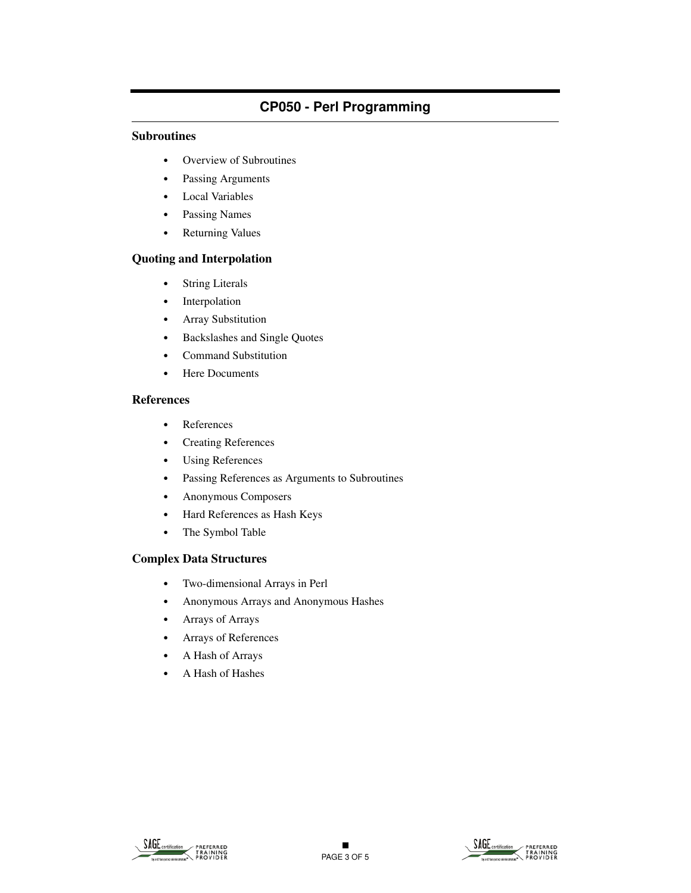#### **Subroutines**

- **•** Overview of Subroutines
- **•** Passing Arguments
- **•** Local Variables
- **•** Passing Names
- **•** Returning Values

#### **Quoting and Interpolation**

- **•** String Literals
- **•** Interpolation
- **•** Array Substitution
- **•** Backslashes and Single Quotes
- **•** Command Substitution
- **•** Here Documents

#### **References**

- **•** References
- **•** Creating References
- **•** Using References
- **•** Passing References as Arguments to Subroutines
- **•** Anonymous Composers
- **•** Hard References as Hash Keys
- **•** The Symbol Table

#### **Complex Data Structures**

- **•** Two-dimensional Arrays in Perl
- **•** Anonymous Arrays and Anonymous Hashes
- **•** Arrays of Arrays
- **•** Arrays of References
- **•** A Hash of Arrays
- **•** A Hash of Hashes



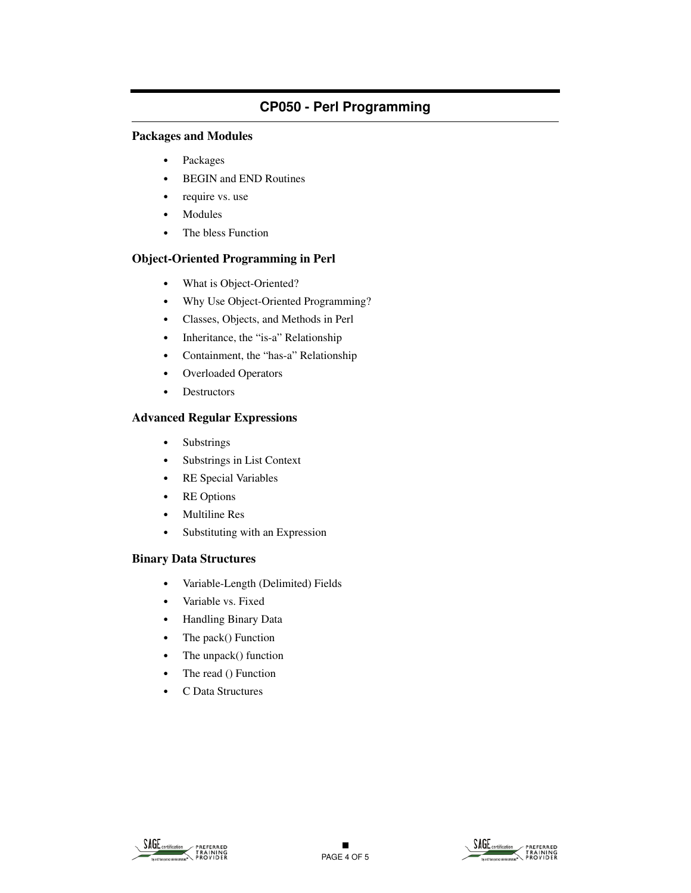#### **Packages and Modules**

- **•** Packages
- **•** BEGIN and END Routines
- **•** require vs. use
- **•** Modules
- **•** The bless Function

#### **Object-Oriented Programming in Perl**

- **•** What is Object-Oriented?
- **•** Why Use Object-Oriented Programming?
- **•** Classes, Objects, and Methods in Perl
- **•** Inheritance, the "is-a" Relationship
- **•** Containment, the "has-a" Relationship
- **•** Overloaded Operators
- **•** Destructors

#### **Advanced Regular Expressions**

- **•** Substrings
- **•** Substrings in List Context
- **•** RE Special Variables
- **•** RE Options
- **•** Multiline Res
- **•** Substituting with an Expression

#### **Binary Data Structures**

- **•** Variable-Length (Delimited) Fields
- **•** Variable vs. Fixed
- **•** Handling Binary Data
- **•** The pack() Function
- **•** The unpack() function
- The read () Function
- **•** C Data Structures